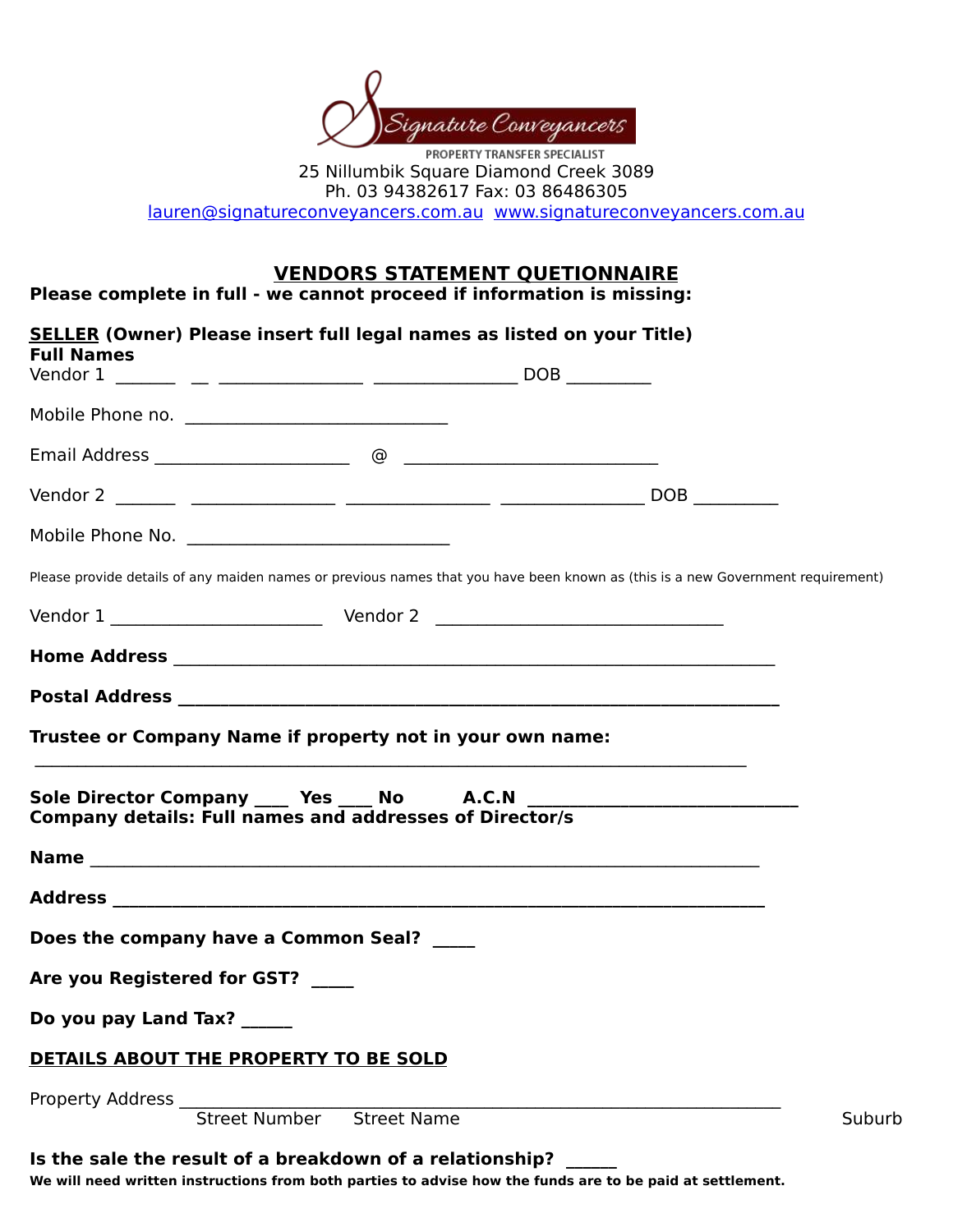

25 Nillumbik Square Diamond Creek 3089 Ph. 03 94382617 Fax: 03 86486305

lauren@signatureconveyancers.com.au www.signatureconveyancers.com.au

# **VENDORS STATEMENT QUETIONNAIRE**

**Please complete in full - we cannot proceed if information is missing:** 

| <b>SELLER (Owner) Please insert full legal names as listed on your Title)</b><br><b>Full Names</b>                              |  |  |
|---------------------------------------------------------------------------------------------------------------------------------|--|--|
|                                                                                                                                 |  |  |
|                                                                                                                                 |  |  |
|                                                                                                                                 |  |  |
|                                                                                                                                 |  |  |
|                                                                                                                                 |  |  |
| Please provide details of any maiden names or previous names that you have been known as (this is a new Government requirement) |  |  |
|                                                                                                                                 |  |  |
|                                                                                                                                 |  |  |
|                                                                                                                                 |  |  |
| Trustee or Company Name if property not in your own name:                                                                       |  |  |
| Sole Director Company ____ Yes ____ No A.C.N ____<br><b>Company details: Full names and addresses of Director/s</b>             |  |  |
|                                                                                                                                 |  |  |
|                                                                                                                                 |  |  |
| Does the company have a Common Seal?                                                                                            |  |  |

Are you Registered for GST? \_\_\_\_\_

Do you pay Land Tax? \_\_\_\_\_\_

### **DETAILS ABOUT THE PROPERTY TO BE SOLD**

Property Address \_\_\_\_\_\_\_\_\_\_\_\_\_\_\_\_\_\_\_\_\_\_\_\_\_\_\_\_\_\_\_\_\_\_\_\_\_\_\_\_\_\_\_\_\_\_\_\_\_\_\_\_\_\_\_\_\_\_\_\_\_\_\_\_\_\_\_\_\_\_\_

Street Number and Street Name and the street Name and the Suburb



#### **Is the sale the result of a breakdown of a relationship?**

We will need written instructions from both parties to advise how the funds are to be paid at settlement.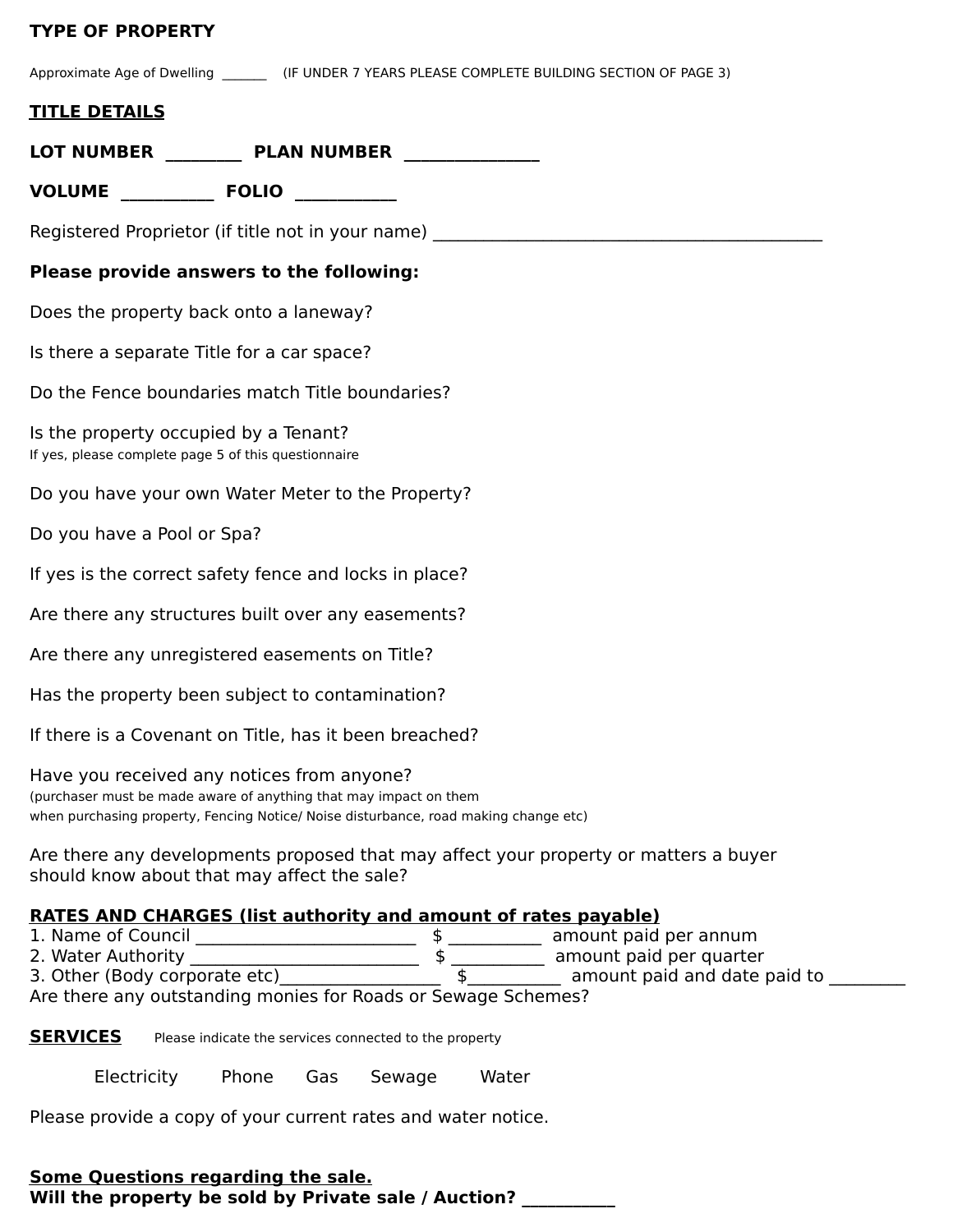## **TYPE OF PROPERTY**

Approximate Age of Dwelling \_\_\_\_\_\_\_\_\_ (IF UNDER 7 YEARS PLEASE COMPLETE BUILDING SECTION OF PAGE 3)

### **TITLE DETAILS**

|                                                                                               | LOT NUMBER PLAN NUMBER                                                                                                                                                                                  |
|-----------------------------------------------------------------------------------------------|---------------------------------------------------------------------------------------------------------------------------------------------------------------------------------------------------------|
|                                                                                               |                                                                                                                                                                                                         |
|                                                                                               | Registered Proprietor (if title not in your name)                                                                                                                                                       |
|                                                                                               | <b>Please provide answers to the following:</b>                                                                                                                                                         |
|                                                                                               | Does the property back onto a laneway?                                                                                                                                                                  |
|                                                                                               | Is there a separate Title for a car space?                                                                                                                                                              |
|                                                                                               | Do the Fence boundaries match Title boundaries?                                                                                                                                                         |
| Is the property occupied by a Tenant?<br>If yes, please complete page 5 of this questionnaire |                                                                                                                                                                                                         |
|                                                                                               | Do you have your own Water Meter to the Property?                                                                                                                                                       |
| Do you have a Pool or Spa?                                                                    |                                                                                                                                                                                                         |
|                                                                                               | If yes is the correct safety fence and locks in place?                                                                                                                                                  |
|                                                                                               | Are there any structures built over any easements?                                                                                                                                                      |
|                                                                                               | Are there any unregistered easements on Title?                                                                                                                                                          |
|                                                                                               | Has the property been subject to contamination?                                                                                                                                                         |
|                                                                                               | If there is a Covenant on Title, has it been breached?                                                                                                                                                  |
|                                                                                               | Have you received any notices from anyone?<br>(purchaser must be made aware of anything that may impact on them<br>when purchasing property, Fencing Notice/ Noise disturbance, road making change etc) |

Are there any developments proposed that may affect your property or matters a buyer should know about that may affect the sale?

### **RATES AND CHARGES (list authority and amount of rates payable)**

| 1. Name of Council | amount paid per annum |
|--------------------|-----------------------|
| $\sim$ $\cdots$    |                       |

2. Water Authority \_\_\_\_\_\_\_\_\_\_\_\_\_\_\_\_\_\_\_\_\_\_\_\_\_\_\_ \$ \_\_\_\_\_\_\_\_\_\_\_ amount paid per quarter 3. Other (Body corporate etc)\_\_\_\_\_\_\_\_\_\_\_\_\_\_\_\_\_\_\_ \$\_\_\_\_\_\_\_\_\_\_\_ amount paid and date paid to \_\_\_\_\_\_\_\_\_

Are there any outstanding monies for Roads or Sewage Schemes?

**SERVICES** Please indicate the services connected to the property

Electricity Phone Gas Sewage Water

Please provide a copy of your current rates and water notice.

**Some Questions regarding the sale.** Will the property be sold by Private sale / Auction?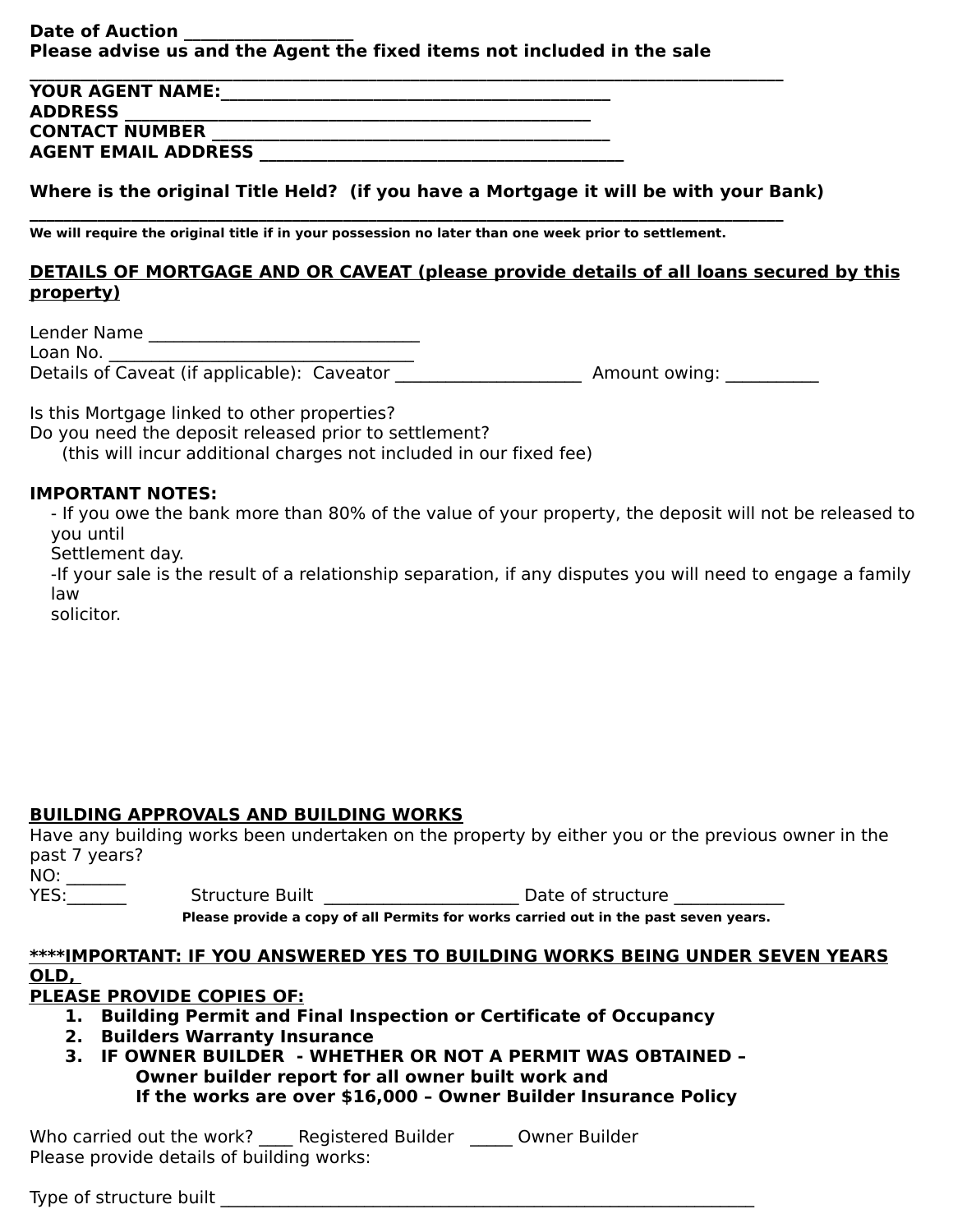### **Date of Auction Please advise us and the Agent the fixed items not included in the sale**

| <b>YOUR AGENT NAME:</b>    |  |
|----------------------------|--|
| <b>ADDRESS</b>             |  |
| <b>CONTACT NUMBER</b>      |  |
| <b>AGENT EMAIL ADDRESS</b> |  |

### **Where is the original Title Held? (if you have a Mortgage it will be with your Bank)**

### **DETAILS OF MORTGAGE AND OR CAVEAT (please provide details of all loans secured by this property)**

**\_\_\_\_\_\_\_\_\_\_\_\_\_\_\_\_\_\_\_\_\_\_\_\_\_\_\_\_\_\_\_\_\_\_\_\_\_\_\_\_\_\_\_\_\_\_\_\_\_\_\_\_\_\_\_\_\_\_\_\_\_\_\_\_\_\_\_\_\_\_\_\_\_\_\_\_\_\_\_\_\_\_\_\_\_\_\_\_\_** 

We will require the original title if in your possession no later than one week prior to settlement.

- If you owe the bank more than 80% of the value of your property, the deposit will not be released to you until 

Settlement day.

-If your sale is the result of a relationship separation, if any disputes you will need to engage a family law 

Lender Name \_\_\_\_\_\_\_\_\_\_\_\_\_\_\_\_\_\_\_\_\_\_\_\_\_\_\_\_\_\_\_\_

Loan No. \_\_\_\_\_\_\_\_\_\_\_\_\_\_\_\_\_\_\_\_\_\_\_\_\_\_\_\_\_\_\_\_\_\_\_\_

Details of Caveat (if applicable): Caveator \_\_\_\_\_\_\_\_\_\_\_\_\_\_\_\_\_\_\_\_\_\_ Amount owing: \_\_\_\_\_\_\_\_\_\_\_

Is this Mortgage linked to other properties?

Do you need the deposit released prior to settlement?

(this will incur additional charges not included in our fixed fee)

#### **IMPORTANT NOTES:**

solicitor.

### **BUILDING APPROVALS AND BUILDING WORKS**

| Have any building works been undertaken on the property by either you or the previous owner in the |                        |  |                                                                                     |  |
|----------------------------------------------------------------------------------------------------|------------------------|--|-------------------------------------------------------------------------------------|--|
| past 7 years?                                                                                      |                        |  |                                                                                     |  |
| NO:                                                                                                |                        |  |                                                                                     |  |
| YES:                                                                                               | <b>Structure Built</b> |  | Date of structure                                                                   |  |
|                                                                                                    |                        |  | Disses nusuide a contrafiall Dennite for works consistint in the nost corrent vegre |  |

**Please provide a copy of all Permits for works carried out in the past seven years.** 

#### **\*\*\*\*IMPORTANT: IF YOU ANSWERED YES TO BUILDING WORKS BEING UNDER SEVEN YEARS**

### **OLD,**

### **PLEASE PROVIDE COPIES OF:**

- **1. Building Permit and Final Inspection or Certificate of Occupancy**
- **2. Builders Warranty Insurance**
- **3. IF OWNER BUILDER WHETHER OR NOT A PERMIT WAS OBTAINED -Owner builder report for all owner built work and If the works are over \$16,000 - Owner Builder Insurance Policy**

Who carried out the work? \_\_\_\_ Registered Builder \_\_\_\_\_ Owner Builder Please provide details of building works:

Type of structure built \_\_\_\_\_\_\_\_\_\_\_\_\_\_\_\_\_\_\_\_\_\_\_\_\_\_\_\_\_\_\_\_\_\_\_\_\_\_\_\_\_\_\_\_\_\_\_\_\_\_\_\_\_\_\_\_\_\_\_\_\_\_\_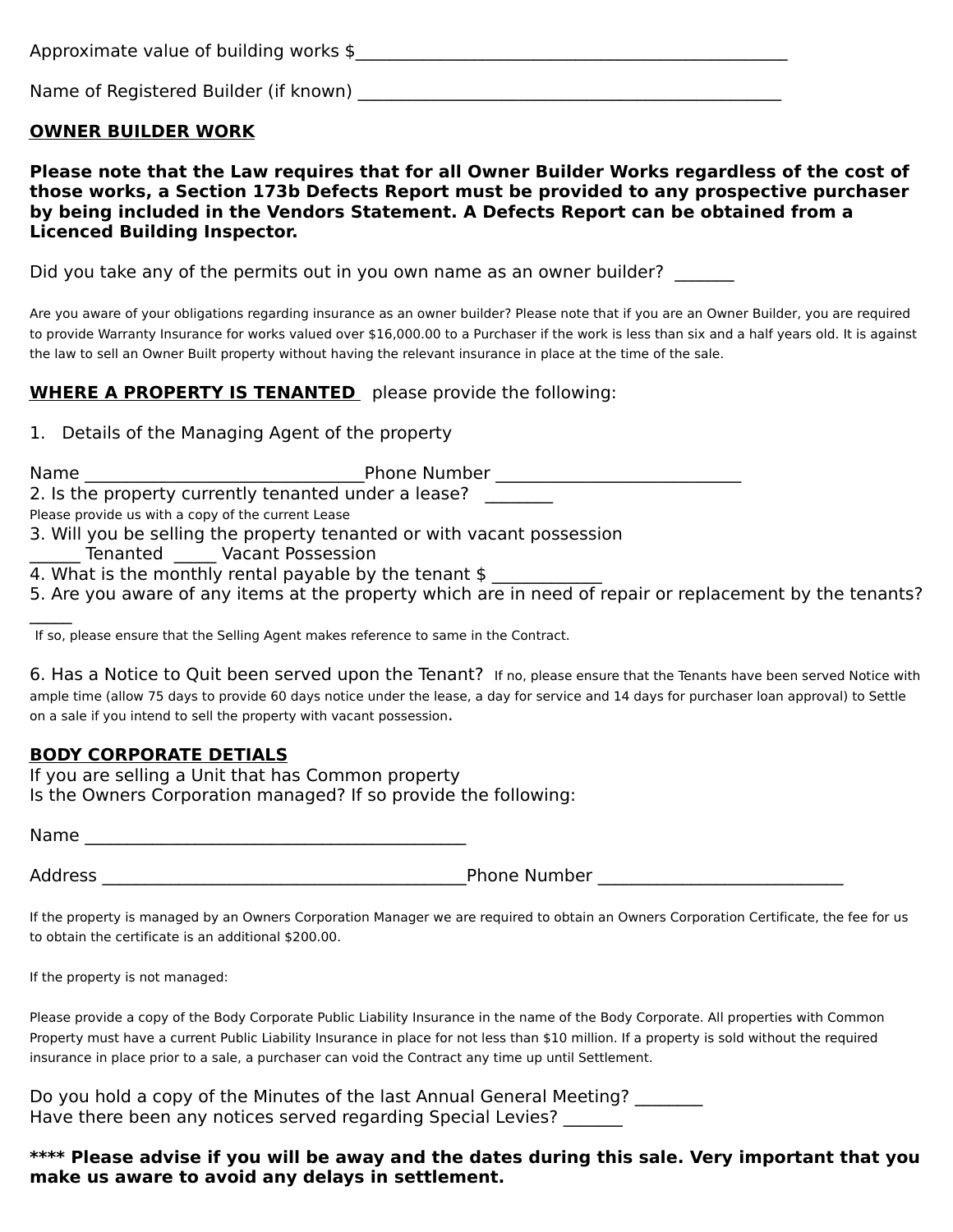| Approximate value of building works \$ |  |
|----------------------------------------|--|
|----------------------------------------|--|

Name of Registered Builder (if known) \_\_\_\_\_\_\_\_\_\_\_\_\_\_\_\_\_\_\_\_\_\_\_\_\_\_\_\_\_\_\_\_\_\_\_\_\_\_\_\_\_\_\_\_\_\_\_\_\_\_

### **OWNER BUILDER WORK**

**Please note that the Law requires that for all Owner Builder Works regardless of the cost of** those works, a Section 173b Defects Report must be provided to any prospective purchaser by being included in the Vendors Statement. A Defects Report can be obtained from a **Licenced Building Inspector.**

Did you take any of the permits out in you own name as an owner builder?

Are you aware of your obligations regarding insurance as an owner builder? Please note that if you are an Owner Builder, you are required to provide Warranty Insurance for works valued over \$16,000.00 to a Purchaser if the work is less than six and a half years old. It is against the law to sell an Owner Built property without having the relevant insurance in place at the time of the sale.

## **WHERE A PROPERTY IS TENANTED** please provide the following:

1. Details of the Managing Agent of the property

| <b>Name</b> | <b>Phone Number</b>                                                                                      |
|-------------|----------------------------------------------------------------------------------------------------------|
|             | 2. Is the property currently tenanted under a lease?                                                     |
|             | Please provide us with a copy of the current Lease                                                       |
|             | 3. Will you be selling the property tenanted or with vacant possession                                   |
|             | <b>Vacant Possession</b><br>Tenanted                                                                     |
|             | 4. What is the monthly rental payable by the tenant \$                                                   |
|             | 5. Are you aware of any items at the property which are in need of repair or replacement by the tenants? |
|             |                                                                                                          |

If so, please ensure that the Selling Agent makes reference to same in the Contract.

6. Has a Notice to Quit been served upon the Tenant? If no, please ensure that the Tenants have been served Notice with ample time (allow 75 days to provide 60 days notice under the lease, a day for service and 14 days for purchaser loan approval) to Settle on a sale if you intend to sell the property with vacant possession.

### **BODY CORPORATE DETIALS**

If you are selling a Unit that has Common property Is the Owners Corporation managed? If so provide the following:

| <b>Name</b> |  |
|-------------|--|
|             |  |

Address \_\_\_\_\_\_\_\_\_\_\_\_\_\_\_\_\_\_\_\_\_\_\_\_\_\_\_\_\_\_\_\_\_\_\_\_\_\_\_\_\_\_\_Phone Number \_\_\_\_\_\_\_\_\_\_\_\_\_\_\_\_\_\_\_\_\_\_\_\_\_\_\_\_\_

If the property is managed by an Owners Corporation Manager we are required to obtain an Owners Corporation Certificate, the fee for us to obtain the certificate is an additional \$200.00.

Please provide a copy of the Body Corporate Public Liability Insurance in the name of the Body Corporate. All properties with Common Property must have a current Public Liability Insurance in place for not less than \$10 million. If a property is sold without the required insurance in place prior to a sale, a purchaser can void the Contract any time up until Settlement.

Do you hold a copy of the Minutes of the last Annual General Meeting? \_\_\_\_\_\_\_\_ Have there been any notices served regarding Special Levies?

\*\*\*\* Please advise if you will be away and the dates during this sale. Very important that you make us aware to avoid any delays in settlement.